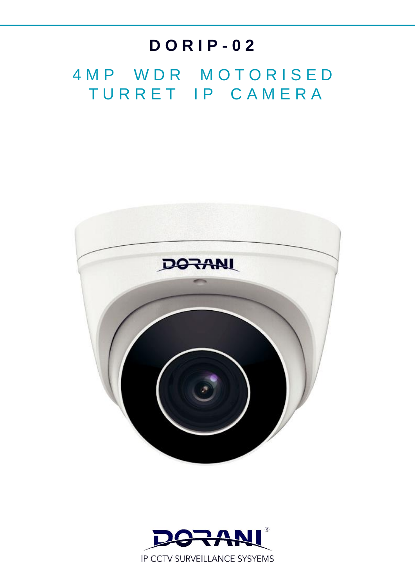## **D O R I P - 0 2**

4 M P W D R M O T O R I S E D TURRET IP CAMERA



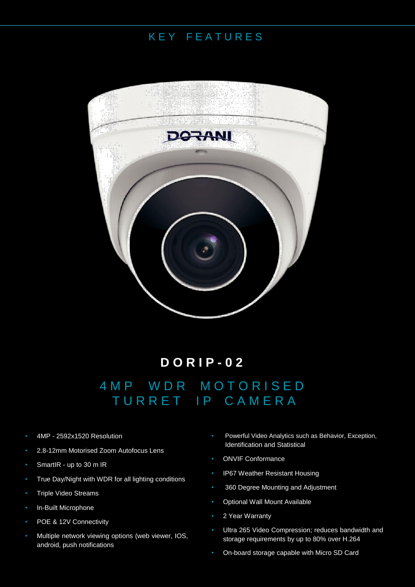## K E Y F E A T U R E S



**D O R I P - 0 2** 4 M P W D R M O T O R I S E D TURRET IP CAMERA

- 4MP 2592x1520 Resolution
- 2.8-12mm Motorised Zoom Autofocus Lens
- SmartIR up to 30 m IR
- True Day/Night with WDR for all lighting conditions
- Triple Video Streams
- In-Built Microphone
- POE & 12V Connectivity
- Multiple network viewing options (web viewer, IOS, android, push notifications
- Powerful Video Analytics such as Behavior, Exception, Identification and Statistical
- ONVIF Conformance
- IP67 Weather Resistant Housing
- 360 Degree Mounting and Adjustment
- Optional Wall Mount Available
- 2 Year Warranty
- Ultra 265 Video Compression; reduces bandwidth and storage requirements by up to 80% over H.264
- On-board storage capable with Micro SD Card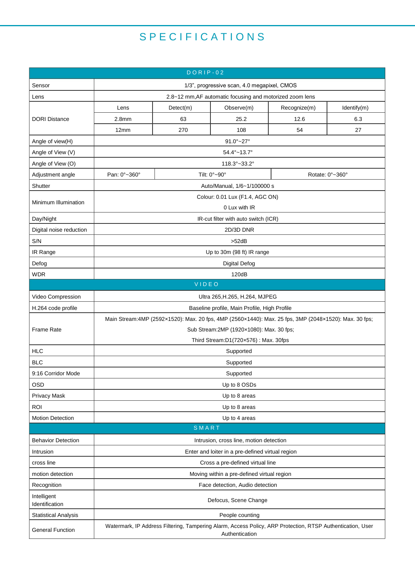## S P E C I F I C A T I O N S

| $DORIP-02$                    |                                                                                                                              |           |              |                 |             |  |
|-------------------------------|------------------------------------------------------------------------------------------------------------------------------|-----------|--------------|-----------------|-------------|--|
| Sensor                        | 1/3", progressive scan, 4.0 megapixel, CMOS                                                                                  |           |              |                 |             |  |
| Lens                          | 2.8~12 mm, AF automatic focusing and motorized zoom lens                                                                     |           |              |                 |             |  |
| <b>DORI Distance</b>          | Lens                                                                                                                         | Detect(m) | Observe(m)   | Recognize(m)    | Identify(m) |  |
|                               | 2.8 <sub>mm</sub>                                                                                                            | 63        | 25.2         | 12.6            | 6.3         |  |
|                               | 12mm                                                                                                                         | 270       | 108          | 54              | 27          |  |
| Angle of view(H)              | $91.0^{\circ} - 27^{\circ}$                                                                                                  |           |              |                 |             |  |
| Angle of View (V)             | 54.4°~13.7°                                                                                                                  |           |              |                 |             |  |
| Angle of View (O)             | 118.3°~33.2°                                                                                                                 |           |              |                 |             |  |
| Adjustment angle              | Pan: 0°~360°                                                                                                                 |           | Tilt: 0°~90° | Rotate: 0°~360° |             |  |
| Shutter                       | Auto/Manual, 1/6~1/100000 s                                                                                                  |           |              |                 |             |  |
| Minimum Illumination          | Colour: 0.01 Lux (F1.4, AGC ON)<br>0 Lux with IR                                                                             |           |              |                 |             |  |
| Day/Night                     | IR-cut filter with auto switch (ICR)                                                                                         |           |              |                 |             |  |
| Digital noise reduction       | 2D/3D DNR                                                                                                                    |           |              |                 |             |  |
| S/N                           | >52dB                                                                                                                        |           |              |                 |             |  |
| IR Range                      | Up to 30m (98 ft) IR range                                                                                                   |           |              |                 |             |  |
| Defog                         | <b>Digital Defog</b>                                                                                                         |           |              |                 |             |  |
| <b>WDR</b>                    | 120dB                                                                                                                        |           |              |                 |             |  |
| VIDEO                         |                                                                                                                              |           |              |                 |             |  |
| Video Compression             | Ultra 265, H.265, H.264, MJPEG                                                                                               |           |              |                 |             |  |
| H.264 code profile            | Baseline profile, Main Profile, High Profile                                                                                 |           |              |                 |             |  |
|                               | Main Stream:4MP (2592x1520): Max. 20 fps, 4MP (2560x1440): Max. 25 fps, 3MP (2048x1520): Max. 30 fps;                        |           |              |                 |             |  |
| Frame Rate                    | Sub Stream: 2MP (1920×1080): Max. 30 fps;                                                                                    |           |              |                 |             |  |
|                               | Third Stream:D1(720×576): Max. 30fps                                                                                         |           |              |                 |             |  |
| <b>HLC</b>                    | Supported                                                                                                                    |           |              |                 |             |  |
| <b>BLC</b>                    | Supported                                                                                                                    |           |              |                 |             |  |
| 9:16 Corridor Mode            | Supported                                                                                                                    |           |              |                 |             |  |
| <b>OSD</b>                    | Up to 8 OSDs                                                                                                                 |           |              |                 |             |  |
| Privacy Mask                  | Up to 8 areas                                                                                                                |           |              |                 |             |  |
| <b>ROI</b>                    | Up to 8 areas                                                                                                                |           |              |                 |             |  |
| <b>Motion Detection</b>       | Up to 4 areas                                                                                                                |           |              |                 |             |  |
| SMART                         |                                                                                                                              |           |              |                 |             |  |
| <b>Behavior Detection</b>     | Intrusion, cross line, motion detection                                                                                      |           |              |                 |             |  |
| Intrusion                     | Enter and loiter in a pre-defined virtual region                                                                             |           |              |                 |             |  |
| cross line                    | Cross a pre-defined virtual line                                                                                             |           |              |                 |             |  |
| motion detection              | Moving within a pre-defined virtual region                                                                                   |           |              |                 |             |  |
| Recognition                   | Face detection, Audio detection                                                                                              |           |              |                 |             |  |
| Intelligent<br>Identification | Defocus, Scene Change                                                                                                        |           |              |                 |             |  |
| <b>Statistical Analysis</b>   | People counting                                                                                                              |           |              |                 |             |  |
| <b>General Function</b>       | Watermark, IP Address Filtering, Tampering Alarm, Access Policy, ARP Protection, RTSP Authentication, User<br>Authentication |           |              |                 |             |  |